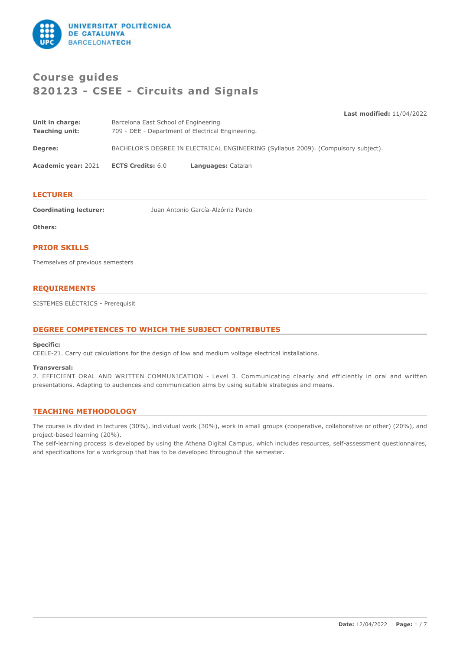

# **Course guides 820123 - CSEE - Circuits and Signals**

**Last modified:** 11/04/2022

| <b>Academic year: 2021</b>               | <b>ECTS Credits: 6.0</b>                                                                  | Languages: Catalan                                                                 |  |
|------------------------------------------|-------------------------------------------------------------------------------------------|------------------------------------------------------------------------------------|--|
| Degree:                                  |                                                                                           | BACHELOR'S DEGREE IN ELECTRICAL ENGINEERING (Syllabus 2009). (Compulsory subject). |  |
| Unit in charge:<br><b>Teaching unit:</b> | Barcelona East School of Engineering<br>709 - DEE - Department of Electrical Engineering. |                                                                                    |  |

# **LECTURER**

**Coordinating lecturer:** Juan Antonio García-Alzórriz Pardo

**Others:**

# **PRIOR SKILLS**

Themselves of previous semesters

# **REQUIREMENTS**

SISTEMES ELÈCTRICS - Prerequisit

# **DEGREE COMPETENCES TO WHICH THE SUBJECT CONTRIBUTES**

#### **Specific:**

CEELE-21. Carry out calculations for the design of low and medium voltage electrical installations.

#### **Transversal:**

2. EFFICIENT ORAL AND WRITTEN COMMUNICATION - Level 3. Communicating clearly and efficiently in oral and written presentations. Adapting to audiences and communication aims by using suitable strategies and means.

# **TEACHING METHODOLOGY**

The course is divided in lectures (30%), individual work (30%), work in small groups (cooperative, collaborative or other) (20%), and project-based learning (20%).

The self-learning process is developed by using the Athena Digital Campus, which includes resources, self-assessment questionnaires, and specifications for a workgroup that has to be developed throughout the semester.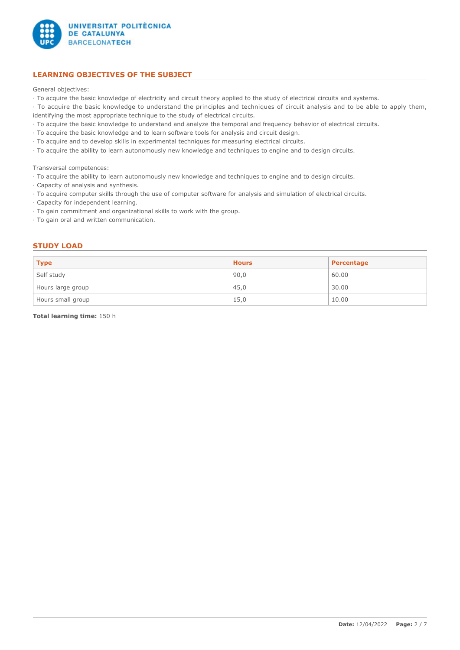

# **LEARNING OBJECTIVES OF THE SUBJECT**

General objectives:

· To acquire the basic knowledge of electricity and circuit theory applied to the study of electrical circuits and systems.

· To acquire the basic knowledge to understand the principles and techniques of circuit analysis and to be able to apply them, identifying the most appropriate technique to the study of electrical circuits.

- · To acquire the basic knowledge to understand and analyze the temporal and frequency behavior of electrical circuits.
- · To acquire the basic knowledge and to learn software tools for analysis and circuit design.
- · To acquire and to develop skills in experimental techniques for measuring electrical circuits.
- · To acquire the ability to learn autonomously new knowledge and techniques to engine and to design circuits.

Transversal competences:

- · To acquire the ability to learn autonomously new knowledge and techniques to engine and to design circuits.
- · Capacity of analysis and synthesis.
- · To acquire computer skills through the use of computer software for analysis and simulation of electrical circuits.
- · Capacity for independent learning.
- · To gain commitment and organizational skills to work with the group.
- · To gain oral and written communication.

# **STUDY LOAD**

| <b>Type</b>       | <b>Hours</b> | Percentage |
|-------------------|--------------|------------|
| Self study        | 90,0         | 60.00      |
| Hours large group | 45,0         | 30.00      |
| Hours small group | 15,0         | 10.00      |

**Total learning time:** 150 h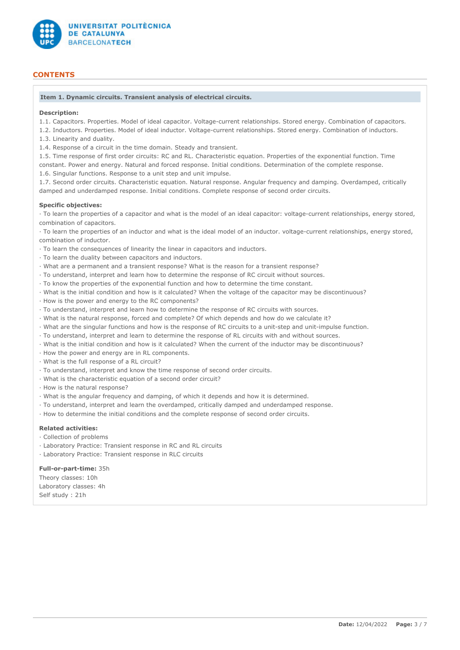

# **CONTENTS**

#### **Item 1. Dynamic circuits. Transient analysis of electrical circuits.**

### **Description:**

1.1. Capacitors. Properties. Model of ideal capacitor. Voltage-current relationships. Stored energy. Combination of capacitors.

1.2. Inductors. Properties. Model of ideal inductor. Voltage-current relationships. Stored energy. Combination of inductors.

1.3. Linearity and duality.

1.4. Response of a circuit in the time domain. Steady and transient.

1.5. Time response of first order circuits: RC and RL. Characteristic equation. Properties of the exponential function. Time constant. Power and energy. Natural and forced response. Initial conditions. Determination of the complete response.

1.6. Singular functions. Response to a unit step and unit impulse.

1.7. Second order circuits. Characteristic equation. Natural response. Angular frequency and damping. Overdamped, critically damped and underdamped response. Initial conditions. Complete response of second order circuits.

#### **Specific objectives:**

· To learn the properties of a capacitor and what is the model of an ideal capacitor: voltage-current relationships, energy stored, combination of capacitors.

· To learn the properties of an inductor and what is the ideal model of an inductor. voltage-current relationships, energy stored, combination of inductor.

- · To learn the consequences of linearity the linear in capacitors and inductors.
- · To learn the duality between capacitors and inductors.
- · What are a permanent and a transient response? What is the reason for a transient response?
- · To understand, interpret and learn how to determine the response of RC circuit without sources.
- · To know the properties of the exponential function and how to determine the time constant.
- · What is the initial condition and how is it calculated? When the voltage of the capacitor may be discontinuous?
- · How is the power and energy to the RC components?
- · To understand, interpret and learn how to determine the response of RC circuits with sources.
- · What is the natural response, forced and complete? Of which depends and how do we calculate it?
- · What are the singular functions and how is the response of RC circuits to a unit-step and unit-impulse function.
- · To understand, interpret and learn to determine the response of RL circuits with and without sources.
- · What is the initial condition and how is it calculated? When the current of the inductor may be discontinuous?
- · How the power and energy are in RL components.
- · What is the full response of a RL circuit?
- · To understand, interpret and know the time response of second order circuits.
- · What is the characteristic equation of a second order circuit?
- · How is the natural response?
- · What is the angular frequency and damping, of which it depends and how it is determined.
- · To understand, interpret and learn the overdamped, critically damped and underdamped response.
- · How to determine the initial conditions and the complete response of second order circuits.

#### **Related activities:**

- · Collection of problems
- · Laboratory Practice: Transient response in RC and RL circuits
- · Laboratory Practice: Transient response in RLC circuits

# **Full-or-part-time:** 35h

Theory classes: 10h Laboratory classes: 4h Self study : 21h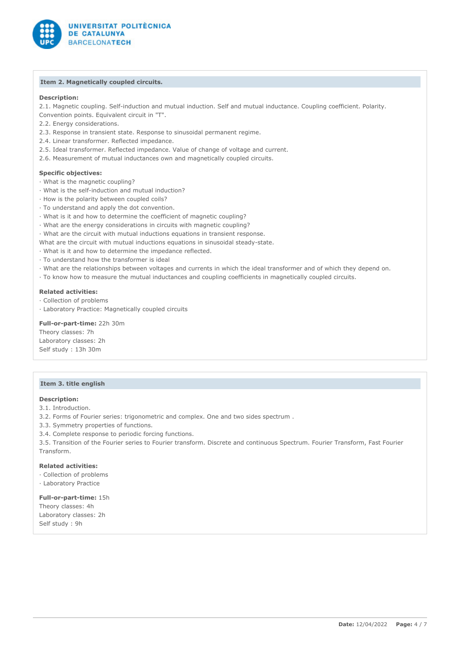

### **Item 2. Magnetically coupled circuits.**

### **Description:**

2.1. Magnetic coupling. Self-induction and mutual induction. Self and mutual inductance. Coupling coefficient. Polarity. Convention points. Equivalent circuit in "T".

- 2.2. Energy considerations.
- 2.3. Response in transient state. Response to sinusoidal permanent regime.
- 2.4. Linear transformer. Reflected impedance.
- 2.5. Ideal transformer. Reflected impedance. Value of change of voltage and current.
- 2.6. Measurement of mutual inductances own and magnetically coupled circuits.

#### **Specific objectives:**

- · What is the magnetic coupling?
- · What is the self-induction and mutual induction?
- · How is the polarity between coupled coils?
- · To understand and apply the dot convention.
- · What is it and how to determine the coefficient of magnetic coupling?
- · What are the energy considerations in circuits with magnetic coupling?
- · What are the circuit with mutual inductions equations in transient response.
- What are the circuit with mutual inductions equations in sinusoidal steady-state.
- · What is it and how to determine the impedance reflected.
- · To understand how the transformer is ideal
- · What are the relationships between voltages and currents in which the ideal transformer and of which they depend on.
- · To know how to measure the mutual inductances and coupling coefficients in magnetically coupled circuits.

#### **Related activities:**

- · Collection of problems
- · Laboratory Practice: Magnetically coupled circuits

#### **Full-or-part-time:** 22h 30m

Theory classes: 7h Laboratory classes: 2h Self study : 13h 30m

# **Item 3. title english**

## **Description:**

- 3.1. Introduction.
- 3.2. Forms of Fourier series: trigonometric and complex. One and two sides spectrum .
- 3.3. Symmetry properties of functions.
- 3.4. Complete response to periodic forcing functions.

3.5. Transition of the Fourier series to Fourier transform. Discrete and continuous Spectrum. Fourier Transform, Fast Fourier Transform.

# **Related activities:**

- · Collection of problems
- · Laboratory Practice

#### **Full-or-part-time:** 15h

Theory classes: 4h Laboratory classes: 2h Self study : 9h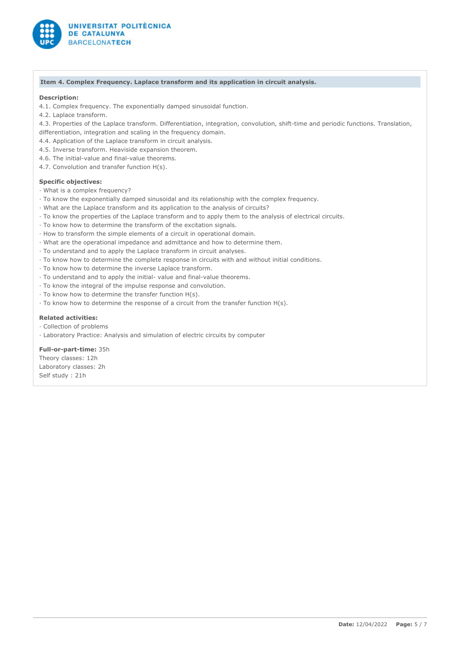

#### **Item 4. Complex Frequency. Laplace transform and its application in circuit analysis.**

# **Description:**

- 4.1. Complex frequency. The exponentially damped sinusoidal function.
- 4.2. Laplace transform.
- 4.3. Properties of the Laplace transform. Differentiation, integration, convolution, shift-time and periodic functions. Translation,
- differentiation, integration and scaling in the frequency domain.
- 4.4. Application of the Laplace transform in circuit analysis.
- 4.5. Inverse transform. Heaviside expansion theorem.
- 4.6. The initial-value and final-value theorems.
- 4.7. Convolution and transfer function H(s).

### **Specific objectives:**

- · What is a complex frequency?
- · To know the exponentially damped sinusoidal and its relationship with the complex frequency.
- · What are the Laplace transform and its application to the analysis of circuits?
- · To know the properties of the Laplace transform and to apply them to the analysis of electrical circuits.
- · To know how to determine the transform of the excitation signals.
- · How to transform the simple elements of a circuit in operational domain.
- · What are the operational impedance and admittance and how to determine them.
- · To understand and to apply the Laplace transform in circuit analyses.
- · To know how to determine the complete response in circuits with and without initial conditions.
- · To know how to determine the inverse Laplace transform.
- · To understand and to apply the initial- value and final-value theorems.
- · To know the integral of the impulse response and convolution.
- · To know how to determine the transfer function H(s).
- · To know how to determine the response of a circuit from the transfer function H(s).

#### **Related activities:**

- · Collection of problems
- · Laboratory Practice: Analysis and simulation of electric circuits by computer

# **Full-or-part-time:** 35h

Theory classes: 12h Laboratory classes: 2h Self study : 21h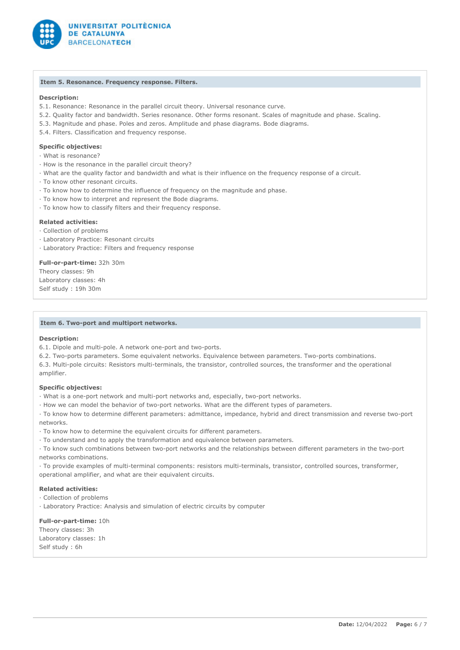

#### **Item 5. Resonance. Frequency response. Filters.**

## **Description:**

- 5.1. Resonance: Resonance in the parallel circuit theory. Universal resonance curve.
- 5.2. Quality factor and bandwidth. Series resonance. Other forms resonant. Scales of magnitude and phase. Scaling.
- 5.3. Magnitude and phase. Poles and zeros. Amplitude and phase diagrams. Bode diagrams.
- 5.4. Filters. Classification and frequency response.

### **Specific objectives:**

- · What is resonance?
- · How is the resonance in the parallel circuit theory?
- · What are the quality factor and bandwidth and what is their influence on the frequency response of a circuit.
- · To know other resonant circuits.
- · To know how to determine the influence of frequency on the magnitude and phase.
- · To know how to interpret and represent the Bode diagrams.
- · To know how to classify filters and their frequency response.

#### **Related activities:**

- · Collection of problems
- · Laboratory Practice: Resonant circuits
- · Laboratory Practice: Filters and frequency response

#### **Full-or-part-time:** 32h 30m

Theory classes: 9h Laboratory classes: 4h Self study : 19h 30m

#### **Item 6. Two-port and multiport networks.**

#### **Description:**

6.1. Dipole and multi-pole. A network one-port and two-ports.

6.2. Two-ports parameters. Some equivalent networks. Equivalence between parameters. Two-ports combinations.

6.3. Multi-pole circuits: Resistors multi-terminals, the transistor, controlled sources, the transformer and the operational amplifier.

#### **Specific objectives:**

· What is a one-port network and multi-port networks and, especially, two-port networks.

· How we can model the behavior of two-port networks. What are the different types of parameters.

· To know how to determine different parameters: admittance, impedance, hybrid and direct transmission and reverse two-port networks.

· To know how to determine the equivalent circuits for different parameters.

· To understand and to apply the transformation and equivalence between parameters.

· To know such combinations between two-port networks and the relationships between different parameters in the two-port networks combinations.

· To provide examples of multi-terminal components: resistors multi-terminals, transistor, controlled sources, transformer, operational amplifier, and what are their equivalent circuits.

#### **Related activities:**

· Collection of problems

· Laboratory Practice: Analysis and simulation of electric circuits by computer

**Full-or-part-time:** 10h Theory classes: 3h Laboratory classes: 1h Self study : 6h